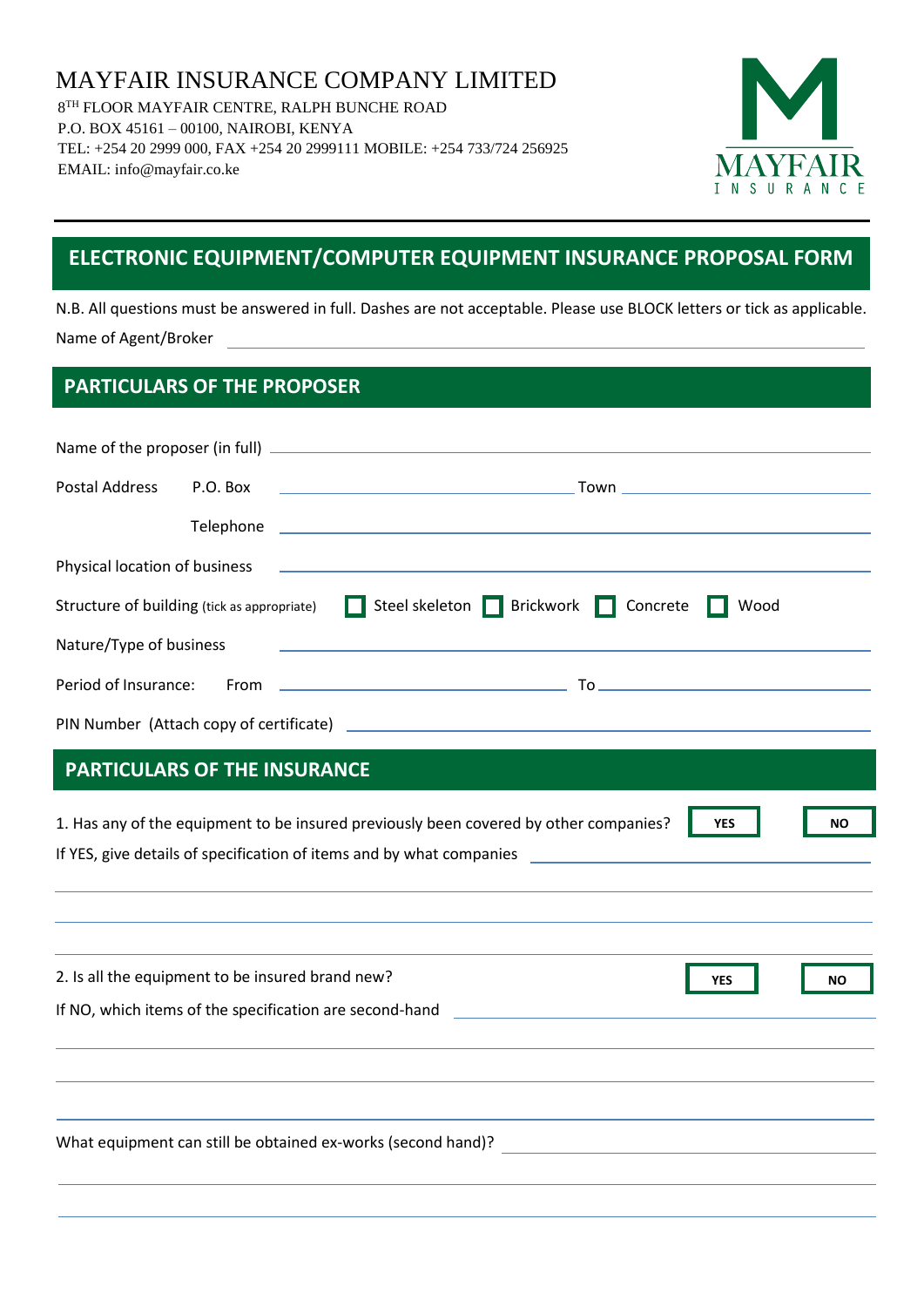MAYFAIR INSURANCE COMPANY LIMITED 8 TH FLOOR MAYFAIR CENTRE, RALPH BUNCHE ROAD P.O. BOX 45161 – 00100, NAIROBI, KENYA TEL: +254 20 2999 000, FAX +254 20 2999111 MOBILE: +254 733/724 256925 EMAIL: info@mayfair.co.ke



# **ELECTRONIC EQUIPMENT/COMPUTER EQUIPMENT INSURANCE PROPOSAL FORM**

N.B. All questions must be answered in full. Dashes are not acceptable. Please use BLOCK letters or tick as applicable. Name of Agent/Broker

### **PARTICULARS OF THE PROPOSER**

|                                     |                                                                                          | Structure of building (tick as appropriate) Steel skeleton Brickwork Concrete<br>Wood                                                                                                                       |           |  |  |
|-------------------------------------|------------------------------------------------------------------------------------------|-------------------------------------------------------------------------------------------------------------------------------------------------------------------------------------------------------------|-----------|--|--|
|                                     | Nature/Type of business<br><u> 1989 - Andrea Station, amerikansk politiker (d. 1989)</u> |                                                                                                                                                                                                             |           |  |  |
|                                     |                                                                                          |                                                                                                                                                                                                             |           |  |  |
|                                     |                                                                                          |                                                                                                                                                                                                             |           |  |  |
| <b>PARTICULARS OF THE INSURANCE</b> |                                                                                          |                                                                                                                                                                                                             |           |  |  |
|                                     |                                                                                          | 1. Has any of the equipment to be insured previously been covered by other companies?<br><b>YES</b><br>If YES, give details of specification of items and by what companies _______________________________ | <b>NO</b> |  |  |

| 2. Is all the equipment to be insured brand new?             | <b>YES</b> | <b>NO</b> |
|--------------------------------------------------------------|------------|-----------|
| If NO, which items of the specification are second-hand      |            |           |
|                                                              |            |           |
|                                                              |            |           |
|                                                              |            |           |
| What equipment can still be obtained ex-works (second hand)? |            |           |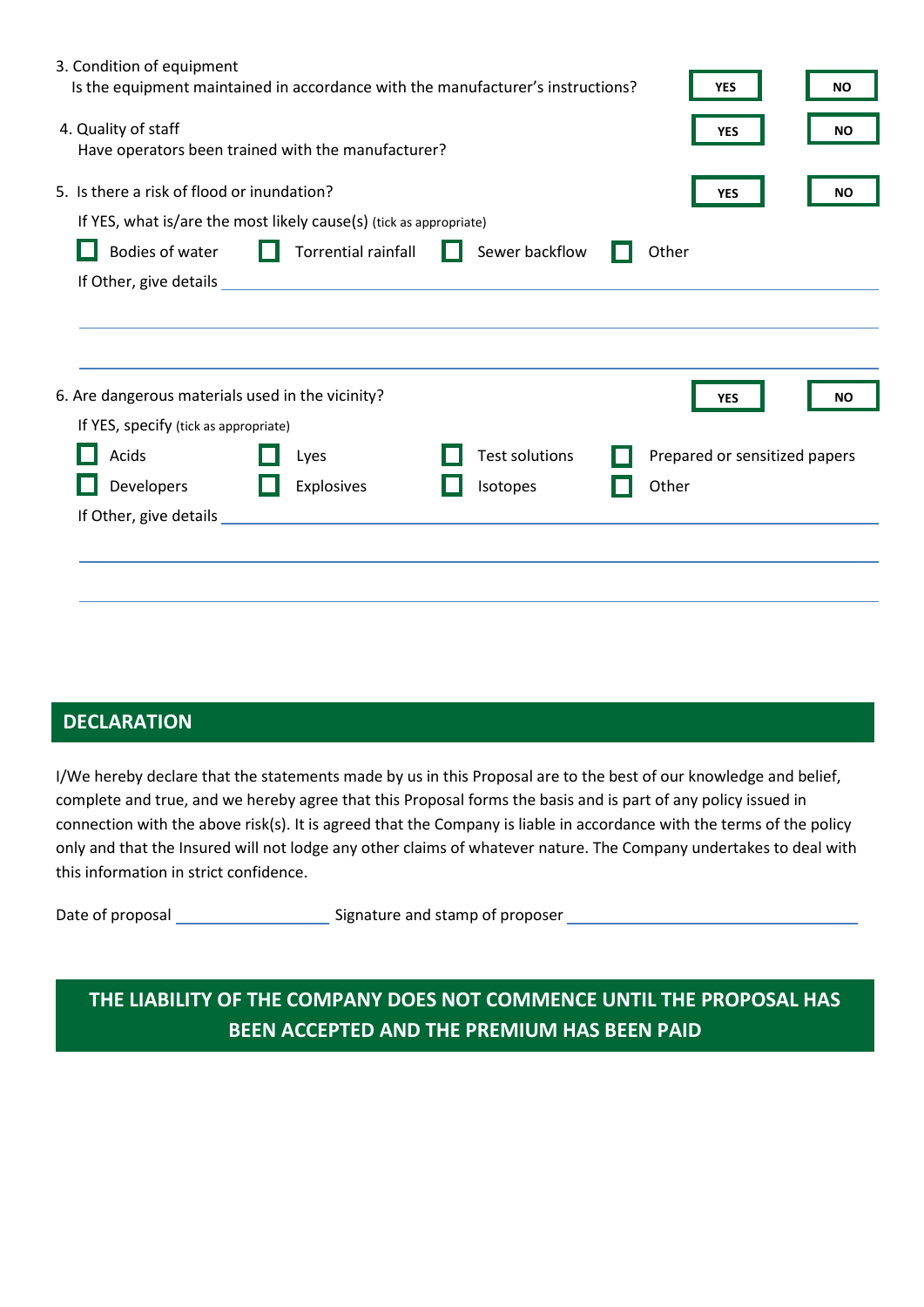| 3. Condition of equipment                        | Is the equipment maintained in accordance with the manufacturer's instructions?                                                                                                                                                |                       | <b>YES</b>                    | NO.       |
|--------------------------------------------------|--------------------------------------------------------------------------------------------------------------------------------------------------------------------------------------------------------------------------------|-----------------------|-------------------------------|-----------|
| 4. Quality of staff                              | Have operators been trained with the manufacturer?                                                                                                                                                                             |                       | <b>YES</b>                    | <b>NO</b> |
| 5. Is there a risk of flood or inundation?       |                                                                                                                                                                                                                                |                       | <b>YES</b>                    | <b>NO</b> |
|                                                  | If YES, what is/are the most likely cause(s) (tick as appropriate)                                                                                                                                                             |                       |                               |           |
| Bodies of water                                  | Torrential rainfall                                                                                                                                                                                                            | Sewer backflow        | Other                         |           |
|                                                  |                                                                                                                                                                                                                                |                       |                               |           |
| 6. Are dangerous materials used in the vicinity? |                                                                                                                                                                                                                                |                       | <b>YES</b>                    | <b>NO</b> |
| If YES, specify (tick as appropriate)            |                                                                                                                                                                                                                                |                       |                               |           |
| Acids                                            | Lyes                                                                                                                                                                                                                           | <b>Test solutions</b> | Prepared or sensitized papers |           |
| Developers                                       | Explosives                                                                                                                                                                                                                     | Isotopes              | Other                         |           |
|                                                  | If Other, give details experience and the state of the state of the state of the state of the state of the state of the state of the state of the state of the state of the state of the state of the state of the state of th |                       |                               |           |
|                                                  |                                                                                                                                                                                                                                |                       |                               |           |
|                                                  |                                                                                                                                                                                                                                |                       |                               |           |

## **DECLARATION**

I/We hereby declare that the statements made by us in this Proposal are to the best of our knowledge and belief, complete and true, and we hereby agree that this Proposal forms the basis and is part of any policy issued in connection with the above risk(s). It is agreed that the Company is liable in accordance with the terms of the policy only and that the Insured will not lodge any other claims of whatever nature. The Company undertakes to deal with this information in strict confidence.

Date of proposal examples a signature and stamp of proposer

**THE LIABILITY OF THE COMPANY DOES NOT COMMENCE UNTIL THE PROPOSAL HAS BEEN ACCEPTED AND THE PREMIUM HAS BEEN PAID**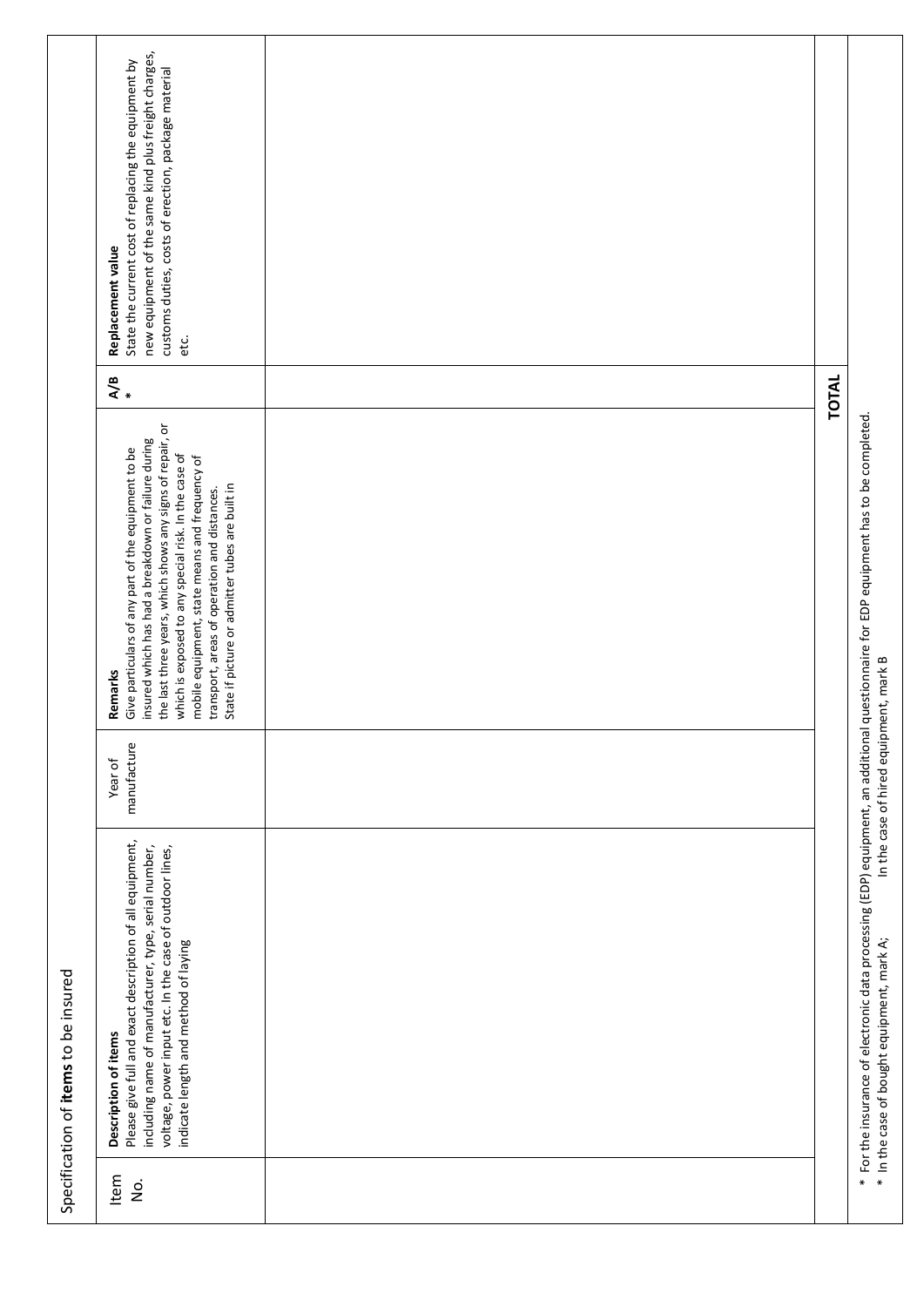|                                      | new equipment of the same kind plus freight charges,<br>State the current cost of replacing the equipment by<br>customs duties, costs of erection, package material<br>Replacement value<br>etc.                                                                                                                                                                                                |       |                                                                                                                                                                                     |
|--------------------------------------|-------------------------------------------------------------------------------------------------------------------------------------------------------------------------------------------------------------------------------------------------------------------------------------------------------------------------------------------------------------------------------------------------|-------|-------------------------------------------------------------------------------------------------------------------------------------------------------------------------------------|
|                                      | $\frac{1}{2}$                                                                                                                                                                                                                                                                                                                                                                                   | TOTAL |                                                                                                                                                                                     |
|                                      | the last three years, which shows any signs of repair, or<br>insured which has had a breakdown or failure during<br>Give particulars of any part of the equipment to be<br>which is exposed to any special risk. In the case of<br>mobile equipment, state means and frequency of<br>State if picture or admitter tubes are built in<br>transport, areas of operation and distances.<br>Remarks |       |                                                                                                                                                                                     |
|                                      | manufacture<br>Year of                                                                                                                                                                                                                                                                                                                                                                          |       | In the case of hired equipment, mark B                                                                                                                                              |
| Specification of items to be insured | Please give full and exact description of all equipment,<br>including name of manufacturer, type, serial number,<br>voltage, power input etc. In the case of outdoor lines,<br>indicate length and method of laying<br>Description of items                                                                                                                                                     |       | * For the insurance of electronic data processing (EDP) equipment, an additional questionnaire for EDP equipment has to be completed.<br>* In the case of bought equipment, mark A; |
|                                      | Item<br>$\frac{1}{2}$                                                                                                                                                                                                                                                                                                                                                                           |       |                                                                                                                                                                                     |